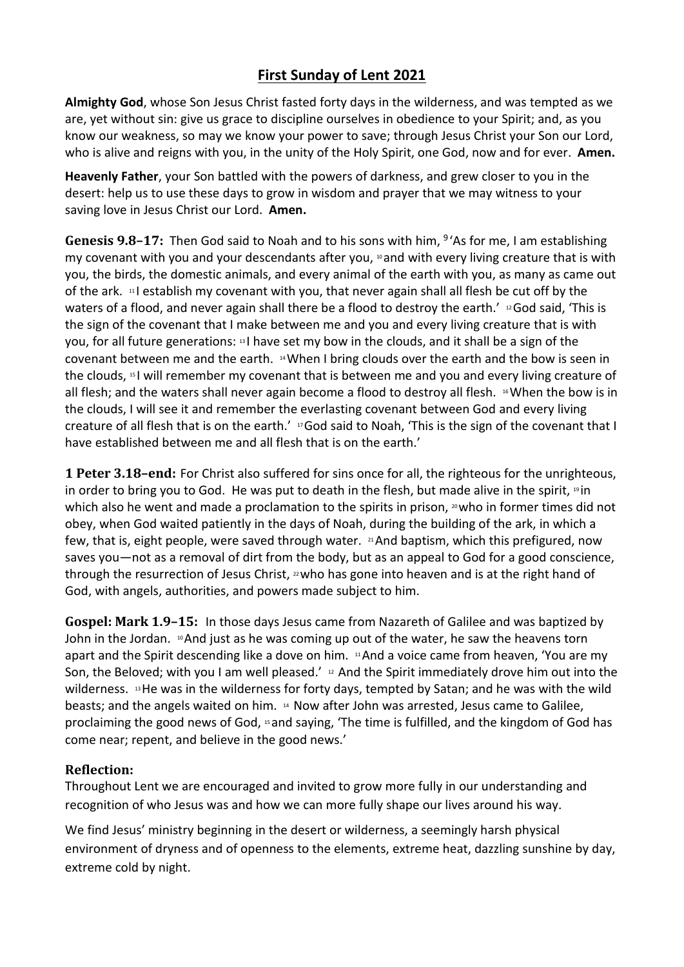## **First Sunday of Lent 2021**

**Almighty God**, whose Son Jesus Christ fasted forty days in the wilderness, and was tempted as we are, yet without sin: give us grace to discipline ourselves in obedience to your Spirit; and, as you know our weakness, so may we know your power to save; through Jesus Christ your Son our Lord, who is alive and reigns with you, in the unity of the Holy Spirit, one God, now and for ever. **Amen.**

**Heavenly Father**, your Son battled with the powers of darkness, and grew closer to you in the desert: help us to use these days to grow in wisdom and prayer that we may witness to your saving love in Jesus Christ our Lord. **Amen.**

Genesis 9.8-17: Then God said to Noah and to his sons with him, <sup>9</sup>'As for me, I am establishing my covenant with you and your descendants after you,  $n$  and with every living creature that is with you, the birds, the domestic animals, and every animal of the earth with you, as many as came out of the ark. <sup>11</sup> I establish my covenant with you, that never again shall all flesh be cut off by the waters of a flood, and never again shall there be a flood to destroy the earth.' <sup>12</sup>God said, 'This is the sign of the covenant that I make between me and you and every living creature that is with you, for all future generations: <sup>13</sup> I have set my bow in the clouds, and it shall be a sign of the covenant between me and the earth. <sup>14</sup>When I bring clouds over the earth and the bow is seen in the clouds, <sup>15</sup> I will remember my covenant that is between me and you and every living creature of all flesh; and the waters shall never again become a flood to destroy all flesh. <sup>16</sup> When the bow is in the clouds, I will see it and remember the everlasting covenant between God and every living creature of all flesh that is on the earth.' 17God said to Noah, 'This is the sign of the covenant that I have established between me and all flesh that is on the earth.'

**1 Peter 3.18–end:** For Christ also suffered for sins once for all, the righteous for the unrighteous, in order to bring you to God. He was put to death in the flesh, but made alive in the spirit, 19 in which also he went and made a proclamation to the spirits in prison,  $\omega$  who in former times did not obey, when God waited patiently in the days of Noah, during the building of the ark, in which a few, that is, eight people, were saved through water. 21And baptism, which this prefigured, now saves you—not as a removal of dirt from the body, but as an appeal to God for a good conscience, through the resurrection of Jesus Christ, <sup>22</sup>who has gone into heaven and is at the right hand of God, with angels, authorities, and powers made subject to him.

**Gospel: Mark 1.9–15:** In those days Jesus came from Nazareth of Galilee and was baptized by John in the Jordan.  $\sqrt{2}$ And just as he was coming up out of the water, he saw the heavens torn apart and the Spirit descending like a dove on him. <sup>11</sup>And a voice came from heaven, 'You are my Son, the Beloved; with you I am well pleased.' <sup>12</sup> And the Spirit immediately drove him out into the wilderness. <sup>13</sup>He was in the wilderness for forty days, tempted by Satan; and he was with the wild beasts; and the angels waited on him. <sup>14</sup> Now after John was arrested, Jesus came to Galilee, proclaiming the good news of God, <sup>15</sup> and saying, 'The time is fulfilled, and the kingdom of God has come near; repent, and believe in the good news.'

## **Reflection:**

Throughout Lent we are encouraged and invited to grow more fully in our understanding and recognition of who Jesus was and how we can more fully shape our lives around his way.

We find Jesus' ministry beginning in the desert or wilderness, a seemingly harsh physical environment of dryness and of openness to the elements, extreme heat, dazzling sunshine by day, extreme cold by night.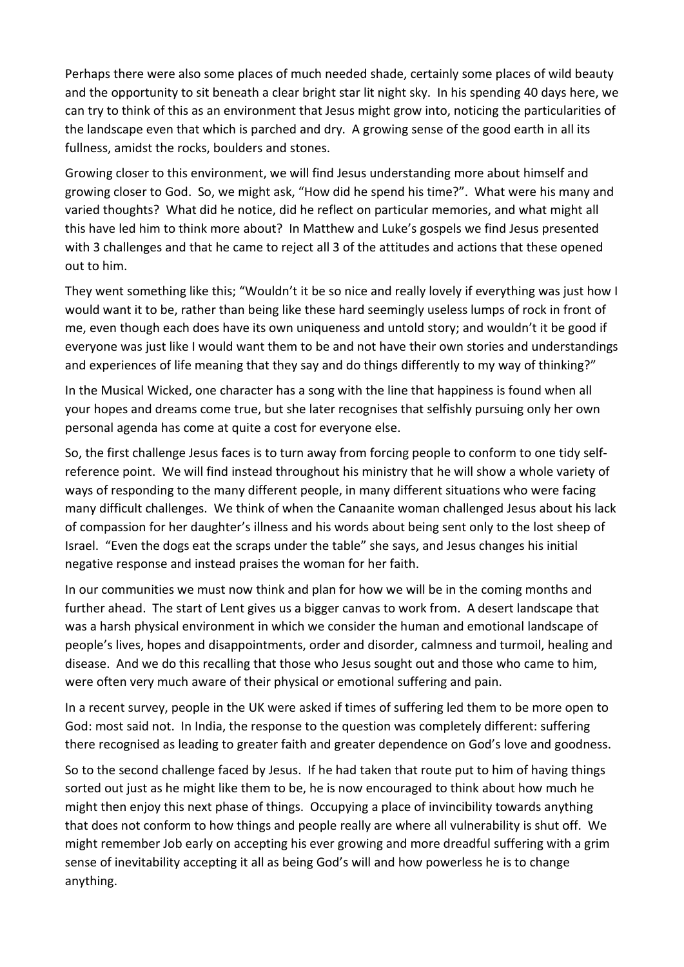Perhaps there were also some places of much needed shade, certainly some places of wild beauty and the opportunity to sit beneath a clear bright star lit night sky. In his spending 40 days here, we can try to think of this as an environment that Jesus might grow into, noticing the particularities of the landscape even that which is parched and dry. A growing sense of the good earth in all its fullness, amidst the rocks, boulders and stones.

Growing closer to this environment, we will find Jesus understanding more about himself and growing closer to God. So, we might ask, "How did he spend his time?". What were his many and varied thoughts? What did he notice, did he reflect on particular memories, and what might all this have led him to think more about? In Matthew and Luke's gospels we find Jesus presented with 3 challenges and that he came to reject all 3 of the attitudes and actions that these opened out to him.

They went something like this; "Wouldn't it be so nice and really lovely if everything was just how I would want it to be, rather than being like these hard seemingly useless lumps of rock in front of me, even though each does have its own uniqueness and untold story; and wouldn't it be good if everyone was just like I would want them to be and not have their own stories and understandings and experiences of life meaning that they say and do things differently to my way of thinking?"

In the Musical Wicked, one character has a song with the line that happiness is found when all your hopes and dreams come true, but she later recognises that selfishly pursuing only her own personal agenda has come at quite a cost for everyone else.

So, the first challenge Jesus faces is to turn away from forcing people to conform to one tidy selfreference point. We will find instead throughout his ministry that he will show a whole variety of ways of responding to the many different people, in many different situations who were facing many difficult challenges. We think of when the Canaanite woman challenged Jesus about his lack of compassion for her daughter's illness and his words about being sent only to the lost sheep of Israel. "Even the dogs eat the scraps under the table" she says, and Jesus changes his initial negative response and instead praises the woman for her faith.

In our communities we must now think and plan for how we will be in the coming months and further ahead. The start of Lent gives us a bigger canvas to work from. A desert landscape that was a harsh physical environment in which we consider the human and emotional landscape of people's lives, hopes and disappointments, order and disorder, calmness and turmoil, healing and disease. And we do this recalling that those who Jesus sought out and those who came to him, were often very much aware of their physical or emotional suffering and pain.

In a recent survey, people in the UK were asked if times of suffering led them to be more open to God: most said not. In India, the response to the question was completely different: suffering there recognised as leading to greater faith and greater dependence on God's love and goodness.

So to the second challenge faced by Jesus. If he had taken that route put to him of having things sorted out just as he might like them to be, he is now encouraged to think about how much he might then enjoy this next phase of things. Occupying a place of invincibility towards anything that does not conform to how things and people really are where all vulnerability is shut off. We might remember Job early on accepting his ever growing and more dreadful suffering with a grim sense of inevitability accepting it all as being God's will and how powerless he is to change anything.